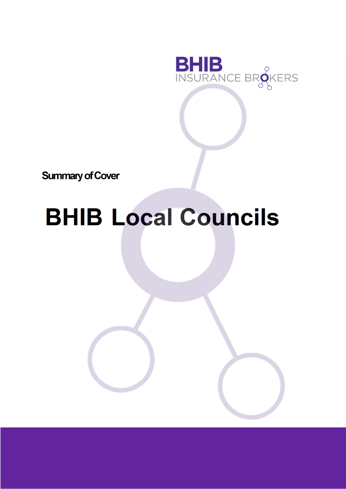

**Summary of Cover** 

# **BHIB Local Councils**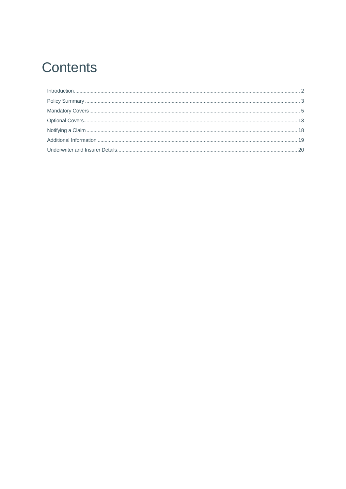# **Contents**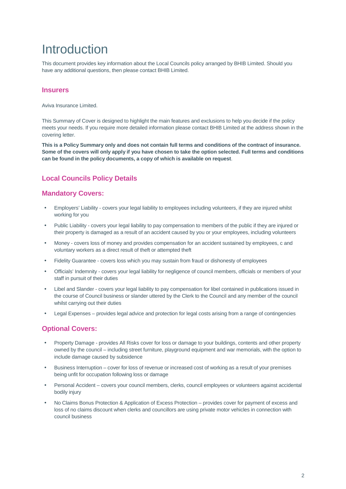# Introduction

This document provides key information about the Local Councils policy arranged by BHIB Limited. Should you have any additional questions, then please contact BHIB Limited.

### **Insurers**

Aviva Insurance Limited.

This Summary of Cover is designed to highlight the main features and exclusions to help you decide if the policy meets your needs. If you require more detailed information please contact BHIB Limited at the address shown in the covering letter.

**This is a Policy Summary only and does not contain full terms and conditions of the contract of insurance. Some of the covers will only apply if you have chosen to take the option selected. Full terms and conditions can be found in the policy documents, a copy of which is available on request**.

## **Local Councils Policy Details**

### **Mandatory Covers:**

- Employers' Liability covers your legal liability to employees including volunteers, if they are injured whilst working for you
- Public Liability covers your legal liability to pay compensation to members of the public if they are injured or their property is damaged as a result of an accident caused by you or your employees, including volunteers
- Money covers loss of money and provides compensation for an accident sustained by employees, c and voluntary workers as a direct result of theft or attempted theft
- Fidelity Guarantee covers loss which you may sustain from fraud or dishonesty of employees
- Officials' Indemnity covers your legal liability for negligence of council members, officials or members of your staff in pursuit of their duties
- Libel and Slander covers your legal liability to pay compensation for libel contained in publications issued in the course of Council business or slander uttered by the Clerk to the Council and any member of the council whilst carrying out their duties
- Legal Expenses provides legal advice and protection for legal costs arising from a range of contingencies

### **Optional Covers:**

- Property Damage provides All Risks cover for loss or damage to your buildings, contents and other property owned by the council – including street furniture, playground equipment and war memorials, with the option to include damage caused by subsidence
- Business Interruption cover for loss of revenue or increased cost of working as a result of your premises being unfit for occupation following loss or damage
- Personal Accident covers your council members, clerks, council employees or volunteers against accidental bodily injury
- No Claims Bonus Protection & Application of Excess Protection provides cover for payment of excess and loss of no claims discount when clerks and councillors are using private motor vehicles in connection with council business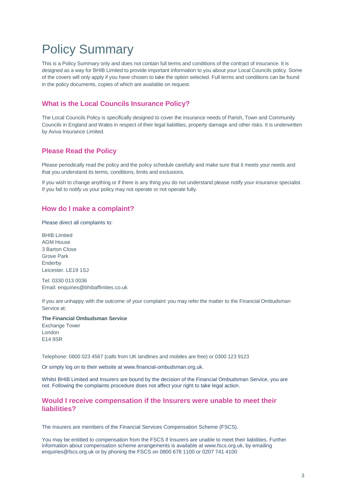# Policy Summary

This is a Policy Summary only and does not contain full terms and conditions of the contract of insurance. It is designed as a way for BHIB Limited to provide important information to you about your Local Councils policy. Some of the covers will only apply if you have chosen to take the option selected. Full terms and conditions can be found in the policy documents, copies of which are available on request.

## **What is the Local Councils Insurance Policy?**

The Local Councils Policy is specifically designed to cover the insurance needs of Parish, Town and Community Councils in England and Wales in respect of their legal liabilities, property damage and other risks. It is underwritten by Aviva Insurance Limited.

### **Please Read the Policy**

Please periodically read the policy and the policy schedule carefully and make sure that it meets your needs and that you understand its terms, conditions, limits and exclusions.

If you wish to change anything or if there is any thing you do not understand please notify your insurance specialist. If you fail to notify us your policy may not operate or not operate fully.

### **How do I make a complaint?**

Please direct all complaints to:

BHIB Limited AGM House 3 Barton Close Grove Park Enderby Leicester. LE19 1SJ

Tel: 0330 013 0036 Email: enquiries@bhibaffinities.co.uk

If you are unhappy with the outcome of your complaint you may refer the matter to the Financial Ombudsman Service at:

**The Financial Ombudsman Service**  Exchange Tower London E14 9SR

Telephone: 0800 023 4567 (calls from UK landlines and mobiles are free) or 0300 123 9123

Or simply log on to their website at www.financial-ombudsman.org.uk.

Whilst BHIB Limited and Insurers are bound by the decision of the Financial Ombudsman Service, you are not. Following the complaints procedure does not affect your right to take legal action.

### **Would I receive compensation if the Insurers were unable to meet their liabilities?**

The Insurers are members of the Financial Services Compensation Scheme (FSCS).

You may be entitled to compensation from the FSCS if Insurers are unable to meet their liabilities. Further information about compensation scheme arrangements is available at www.fscs.org.uk, by emailing enquiries@fscs.org.uk or by phoning the FSCS on 0800 678 1100 or 0207 741 4100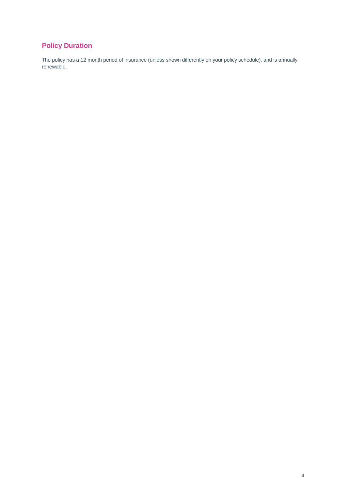## **Policy Duration**

The policy has a 12 month period of insurance (unless shown differently on your policy schedule), and is annually renewable.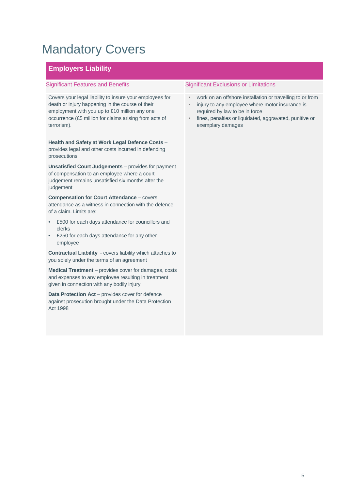# Mandatory Covers

## **Employers Liability**

Covers your legal liability to insure your employees for death or injury happening in the course of their employment with you up to £10 million any one occurrence (£5 million for claims arising from acts of terrorism).

**Health and Safety at Work Legal Defence Costs** – provides legal and other costs incurred in defending prosecutions

**Unsatisfied Court Judgements** – provides for payment of compensation to an employee where a court judgement remains unsatisfied six months after the judgement

**Compensation for Court Attendance** – covers attendance as a witness in connection with the defence of a claim. Limits are:

- £500 for each days attendance for councillors and clerks
- £250 for each days attendance for any other employee

**Contractual Liability** - covers liability which attaches to you solely under the terms of an agreement

**Medical Treatment** – provides cover for damages, costs and expenses to any employee resulting in treatment given in connection with any bodily injury

**Data Protection Act** – provides cover for defence against prosecution brought under the Data Protection Act 1998

- work on an offshore installation or travelling to or from
- injury to any employee where motor insurance is required by law to be in force
- fines, penalties or liquidated, aggravated, punitive or exemplary damages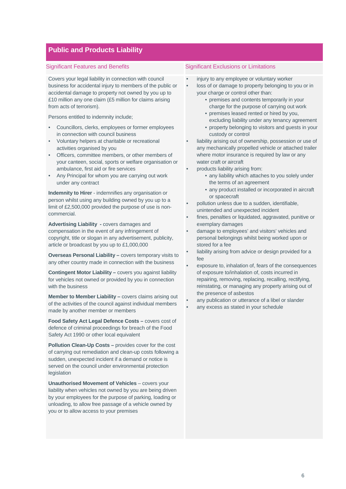### **Public and Products Liability**

Covers your legal liability in connection with council business for accidental injury to members of the public or accidental damage to property not owned by you up to £10 million any one claim (£5 million for claims arising from acts of terrorism).

Persons entitled to indemnity include;

- Councillors, clerks, employees or former employees in connection with council business
- Voluntary helpers at charitable or recreational activities organised by you
- Officers, committee members, or other members of your canteen, social, sports or welfare organisation or ambulance, first aid or fire services
- Any Principal for whom you are carrying out work under any contract

**Indemnity to Hirer** - indemnifies any organisation or person whilst using any building owned by you up to a limit of £2,500,000 provided the purpose of use is noncommercial.

**Advertising Liability -** covers damages and compensation in the event of any infringement of copyright, title or slogan in any advertisement, publicity, article or broadcast by you up to £1,000,000

**Overseas Personal Liability –** covers temporary visits to any other country made in connection with the business

**Contingent Motor Liability –** covers you against liability for vehicles not owned or provided by you in connection with the business

**Member to Member Liability – covers claims arising out** of the activities of the council against individual members made by another member or members

**Food Safety Act Legal Defence Costs –** covers cost of defence of criminal proceedings for breach of the Food Safety Act 1990 or other local equivalent

**Pollution Clean-Up Costs –** provides cover for the cost of carrying out remediation and clean-up costs following a sudden, unexpected incident if a demand or notice is served on the council under environmental protection legislation

**Unauthorised Movement of Vehicles** – covers your liability when vehicles not owned by you are being driven by your employees for the purpose of parking, loading or unloading, to allow free passage of a vehicle owned by you or to allow access to your premises

- injury to any employee or voluntary worker
- loss of or damage to property belonging to you or in your charge or control other than:
	- premises and contents temporarily in your charge for the purpose of carrying out work
	- premises leased rented or hired by you, excluding liability under any tenancy agreement
	- property belonging to visitors and guests in your custody or control
- liability arising out of ownership, possession or use of any mechanically propelled vehicle or attached trailer where motor insurance is required by law or any water craft or aircraft
- products liability arising from:
	- any liability which attaches to you solely under the terms of an agreement
	- any product installed or incorporated in aircraft or spacecraft
- pollution unless due to a sudden, identifiable, unintended and unexpected incident
- fines, penalties or liquidated, aggravated, punitive or exemplary damages
- damage to employees' and visitors' vehicles and personal belongings whilst being worked upon or stored for a fee
- liability arising from advice or design provided for a fee
- exposure to, inhalation of, fears of the consequences of exposure to/inhalation of, costs incurred in repairing, removing, replacing, recalling, rectifying, reinstating, or managing any property arising out of the presence of asbestos
- any publication or utterance of a libel or slander
- any excess as stated in your schedule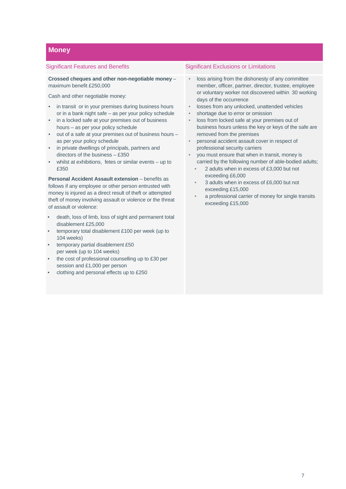### **Money**

**Crossed cheques and other non-negotiable money** – maximum benefit £250,000

Cash and other negotiable money:

- in transit or in your premises during business hours or in a bank night safe – as per your policy schedule
- in a locked safe at your premises out of business hours – as per your policy schedule
- out of a safe at your premises out of business hours as per your policy schedule
- in private dwellings of principals, partners and directors of the business – £350
- whilst at exhibitions, fetes or similar events  $-$  up to £350

**Personal Accident Assault extension** – benefits as follows if any employee or other person entrusted with money is injured as a direct result of theft or attempted theft of money involving assault or violence or the threat of assault or violence:

- death, loss of limb, loss of sight and permanent total disablement £25,000
- temporary total disablement £100 per week (up to 104 weeks)
- temporary partial disablement £50 per week (up to 104 weeks)
- the cost of professional counselling up to £30 per session and £1,000 per person
- clothing and personal effects up to £250

- loss arising from the dishonesty of any committee member, officer, partner, director, trustee, employee or voluntary worker not discovered within 30 working days of the occurrence
- losses from any unlocked, unattended vehicles
- shortage due to error or omission
- loss from locked safe at your premises out of business hours unless the key or keys of the safe are removed from the premises
- personal accident assault cover in respect of professional security carriers
- you must ensure that when in transit, money is carried by the following number of able-bodied adults;
	- 2 adults when in excess of £3,000 but not exceeding £6,000
	- 3 adults when in excess of £6,000 but not exceeding £15,000
	- a professional carrier of money for single transits exceeding £15,000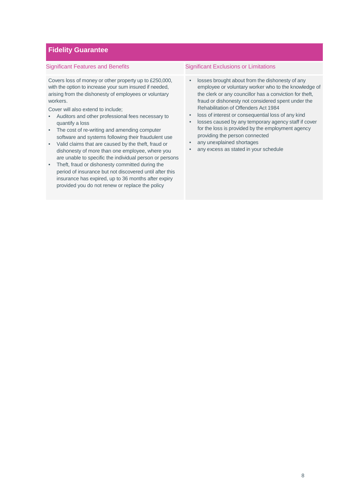### **Fidelity Guarantee**

Covers loss of money or other property up to £250,000, with the option to increase your sum insured if needed, arising from the dishonesty of employees or voluntary workers.

Cover will also extend to include;

- Auditors and other professional fees necessary to quantify a loss
- The cost of re-writing and amending computer software and systems following their fraudulent use
- Valid claims that are caused by the theft, fraud or dishonesty of more than one employee, where you are unable to specific the individual person or persons
- Theft, fraud or dishonesty committed during the period of insurance but not discovered until after this insurance has expired, up to 36 months after expiry provided you do not renew or replace the policy

- losses brought about from the dishonesty of any employee or voluntary worker who to the knowledge of the clerk or any councillor has a conviction for theft, fraud or dishonesty not considered spent under the Rehabilitation of Offenders Act 1984
- loss of interest or consequential loss of any kind
- losses caused by any temporary agency staff if cover for the loss is provided by the employment agency providing the person connected
- any unexplained shortages
- any excess as stated in your schedule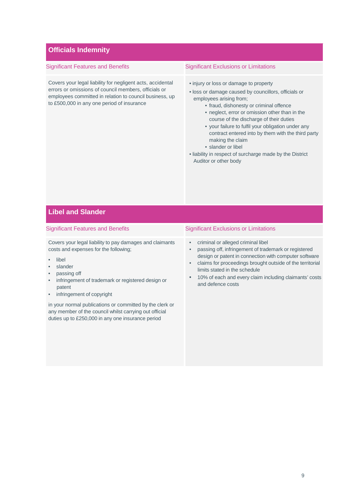### **Officials Indemnity**

Covers your legal liability for negligent acts, accidental errors or omissions of council members, officials or employees committed in relation to council business, up to £500,000 in any one period of insurance

### Significant Features and Benefits Significant Exclusions or Limitations

- injury or loss or damage to property
- loss or damage caused by councillors, officials or employees arising from;
	- fraud, dishonesty or criminal offence
	- neglect, error or omission other than in the course of the discharge of their duties
	- your failure to fulfil your obligation under any contract entered into by them with the third party making the claim
	- slander or libel
- liability in respect of surcharge made by the District Auditor or other body

### **Libel and Slander**

#### Significant Features and Benefits Significant Exclusions or Limitations

Covers your legal liability to pay damages and claimants costs and expenses for the following;

- libel
- **slander**
- passing off
- infringement of trademark or registered design or patent
- infringement of copyright

in your normal publications or committed by the clerk or any member of the council whilst carrying out official duties up to £250,000 in any one insurance period

- criminal or alleged criminal libel
- passing off, infringement of trademark or registered design or patent in connection with computer software
- claims for proceedings brought outside of the territorial limits stated in the schedule
- 10% of each and every claim including claimants' costs and defence costs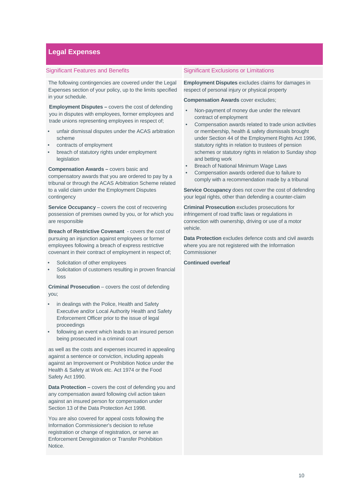## **Legal Expenses**

The following contingencies are covered under the Legal Expenses section of your policy, up to the limits specified in your schedule.

**Employment Disputes –** covers the cost of defending you in disputes with employees, former employees and trade unions representing employees in respect of;

- unfair dismissal disputes under the ACAS arbitration scheme
- contracts of employment
- breach of statutory rights under employment legislation

**Compensation Awards –** covers basic and compensatory awards that you are ordered to pay by a tribunal or through the ACAS Arbitration Scheme related to a valid claim under the Employment Disputes contingency

**Service Occupancy** – covers the cost of recovering possession of premises owned by you, or for which you are responsible

**Breach of Restrictive Covenant** - covers the cost of pursuing an injunction against employees or former employees following a breach of express restrictive covenant in their contract of employment in respect of;

- Solicitation of other employees
- Solicitation of customers resulting in proven financial loss

**Criminal Prosecution** – covers the cost of defending you;

- in dealings with the Police, Health and Safety Executive and/or Local Authority Health and Safety Enforcement Officer prior to the issue of legal proceedings
- following an event which leads to an insured person being prosecuted in a criminal court

as well as the costs and expenses incurred in appealing against a sentence or conviction, including appeals against an Improvement or Prohibition Notice under the Health & Safety at Work etc. Act 1974 or the Food Safety Act 1990.

**Data Protection –** covers the cost of defending you and any compensation award following civil action taken against an insured person for compensation under Section 13 of the Data Protection Act 1998.

You are also covered for appeal costs following the Information Commissioner's decision to refuse registration or change of registration, or serve an Enforcement Deregistration or Transfer Prohibition Notice.

### Significant Features and Benefits Significant Exclusions or Limitations

**Employment Disputes** excludes claims for damages in respect of personal injury or physical property

#### **Compensation Awards** cover excludes;

- Non-payment of money due under the relevant contract of employment
- Compensation awards related to trade union activities or membership, health & safety dismissals brought under Section 44 of the Employment Rights Act 1996, statutory rights in relation to trustees of pension schemes or statutory rights in relation to Sunday shop and betting work
- Breach of National Minimum Wage Laws
- Compensation awards ordered due to failure to comply with a recommendation made by a tribunal

**Service Occupancy** does not cover the cost of defending your legal rights, other than defending a counter-claim

**Criminal Prosecution** excludes prosecutions for infringement of road traffic laws or regulations in connection with ownership, driving or use of a motor vehicle.

**Data Protection** excludes defence costs and civil awards where you are not registered with the Information **Commissioner** 

#### **Continued overleaf**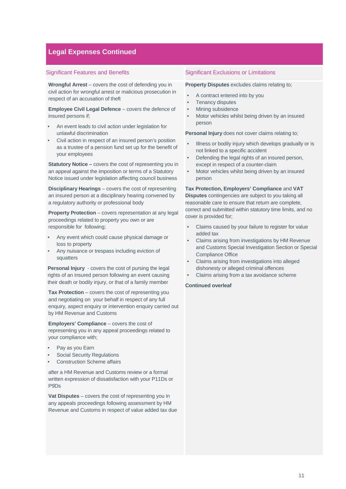### **Legal Expenses Continued**

**Wrongful Arrest** – covers the cost of defending you in civil action for wrongful arrest or malicious prosecution in respect of an accusation of theft

**Employee Civil Legal Defence** – covers the defence of insured persons if;

- An event leads to civil action under legislation for unlawful discrimination
- Civil action in respect of an insured person's position as a trustee of a pension fund set up for the benefit of your employees

**Statutory Notice –** covers the cost of representing you in an appeal against the imposition or terms of a Statutory Notice issued under legislation affecting council business

**Disciplinary Hearings** – covers the cost of representing an insured person at a disciplinary hearing convened by a regulatory authority or professional body

**Property Protection** – covers representation at any legal proceedings related to property you own or are responsible for following;

- Any event which could cause physical damage or loss to property
- Any nuisance or trespass including eviction of squatters

**Personal Injury** - covers the cost of pursing the legal rights of an insured person following an event causing their death or bodily injury, or that of a family member

**Tax Protection** – covers the cost of representing you and negotiating on your behalf in respect of any full enquiry, aspect enquiry or intervention enquiry carried out by HM Revenue and Customs

**Employers' Compliance** – covers the cost of representing you in any appeal proceedings related to your compliance with;

- Pay as you Earn
- Social Security Regulations
- Construction Scheme affairs

after a HM Revenue and Customs review or a formal written expression of dissatisfaction with your P11Ds or P9Ds

**Vat Disputes** – covers the cost of representing you in any appeals proceedings following assessment by HM Revenue and Customs in respect of value added tax due

#### Significant Features and Benefits Significant Exclusions or Limitations

#### **Property Disputes** excludes claims relating to;

- A contract entered into by you
- Tenancy disputes
- Mining subsidence
- Motor vehicles whilst being driven by an insured person

**Personal Injury** does not cover claims relating to;

- Illness or bodily injury which develops gradually or is not linked to a specific accident
- Defending the legal rights of an insured person, except in respect of a counter-claim
- Motor vehicles whilst being driven by an insured person

**Tax Protection, Employers' Compliance** and **VAT Disputes** contingencies are subject to you taking all reasonable care to ensure that return are complete, correct and submitted within statutory time limits, and no cover is provided for;

- Claims caused by your failure to register for value added tax
- Claims arising from investigations by HM Revenue and Customs Special Investigation Section or Special Compliance Office
- Claims arising from investigations into alleged dishonesty or alleged criminal offences
- Claims arising from a tax avoidance scheme

### **Continued overleaf**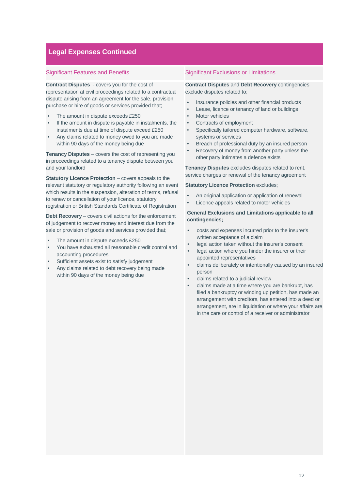### **Legal Expenses Continued**

**Contract Disputes** - covers you for the cost of representation at civil proceedings related to a contractual dispute arising from an agreement for the sale, provision, purchase or hire of goods or services provided that;

- The amount in dispute exceeds £250
- If the amount in dispute is payable in instalments, the instalments due at time of dispute exceed £250
- Any claims related to money owed to you are made within 90 days of the money being due

**Tenancy Disputes** – covers the cost of representing you in proceedings related to a tenancy dispute between you and your landlord

**Statutory Licence Protection** – covers appeals to the relevant statutory or regulatory authority following an event which results in the suspension, alteration of terms, refusal to renew or cancellation of your licence, statutory registration or British Standards Certificate of Registration

**Debt Recovery** – covers civil actions for the enforcement of judgement to recover money and interest due from the sale or provision of goods and services provided that;

- The amount in dispute exceeds £250
- You have exhausted all reasonable credit control and accounting procedures
- Sufficient assets exist to satisfy judgement
- Any claims related to debt recovery being made within 90 days of the money being due

### Significant Features and Benefits Significant Exclusions or Limitations

**Contract Disputes** and **Debt Recovery** contingencies exclude disputes related to;

- Insurance policies and other financial products
- Lease, licence or tenancy of land or buildings
- **Motor vehicles**
- Contracts of employment
- Specifically tailored computer hardware, software, systems or services
- Breach of professional duty by an insured person
- Recovery of money from another party unless the other party intimates a defence exists

**Tenancy Disputes** excludes disputes related to rent, service charges or renewal of the tenancy agreement

#### **Statutory Licence Protection** excludes:

- An original application or application of renewal
- Licence appeals related to motor vehicles

### **General Exclusions and Limitations applicable to all contingencies;**

- costs and expenses incurred prior to the insurer's written acceptance of a claim
- legal action taken without the insurer's consent
- legal action where you hinder the insurer or their appointed representatives
- claims deliberately or intentionally caused by an insured person
- claims related to a judicial review
- claims made at a time where you are bankrupt, has filed a bankruptcy or winding up petition, has made an arrangement with creditors, has entered into a deed or arrangement, are in liquidation or where your affairs are in the care or control of a receiver or administrator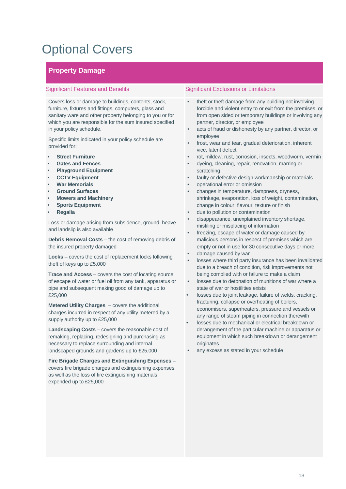# Optional Covers

## **Property Damage**

Covers loss or damage to buildings, contents, stock, furniture, fixtures and fittings, computers, glass and sanitary ware and other property belonging to you or for which you are responsible for the sum insured specified in your policy schedule.

Specific limits indicated in your policy schedule are provided for;

- **Street Furniture**
- **Gates and Fences**
- **Playground Equipment**
- **CCTV Equipment**
- **War Memorials**
- **Ground Surfaces**
- **Mowers and Machinery**
- **Sports Equipment**
- **Regalia**

Loss or damage arising from subsidence, ground heave and landslip is also available

**Debris Removal Costs** – the cost of removing debris of the insured property damaged

**Locks** – covers the cost of replacement locks following theft of keys up to £5,000

**Trace and Access** – covers the cost of locating source of escape of water or fuel oil from any tank, apparatus or pipe and subsequent making good of damage up to £25,000

**Metered Utility Charges** – covers the additional charges incurred in respect of any utility metered by a supply authority up to £25,000

**Landscaping Costs** – covers the reasonable cost of remaking, replacing, redesigning and purchasing as necessary to replace surrounding and internal landscaped grounds and gardens up to £25,000

**Fire Brigade Charges and Extinguishing Expenses** – covers fire brigade charges and extinguishing expenses, as well as the loss of fire extinguishing materials expended up to £25,000

- theft or theft damage from any building not involving forcible and violent entry to or exit from the premises, or from open sided or temporary buildings or involving any partner, director, or employee
- acts of fraud or dishonesty by any partner, director, or employee
- frost, wear and tear, gradual deterioration, inherent vice, latent defect
- rot, mildew, rust, corrosion, insects, woodworm, vermin
- dyeing, cleaning, repair, renovation, marring or scratching
- faulty or defective design workmanship or materials
- operational error or omission
- changes in temperature, dampness, dryness, shrinkage, evaporation, loss of weight, contamination, change in colour, flavour, texture or finish
- due to pollution or contamination
- disappearance, unexplained inventory shortage, misfiling or misplacing of information
- freezing, escape of water or damage caused by malicious persons in respect of premises which are empty or not in use for 30 consecutive days or more
- damage caused by war
- losses where third party insurance has been invalidated due to a breach of condition, risk improvements not being complied with or failure to make a claim
- losses due to detonation of munitions of war where a state of war or hostilities exists
- losses due to joint leakage, failure of welds, cracking, fracturing, collapse or overheating of boilers, economisers, superheaters, pressure and vessels or any range of steam piping in connection therewith
- losses due to mechanical or electrical breakdown or derangement of the particular machine or apparatus or equipment in which such breakdown or derangement originates
- any excess as stated in your schedule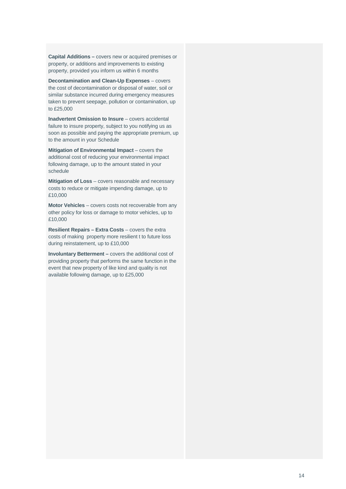**Capital Additions –** covers new or acquired premises or property, or additions and improvements to existing property, provided you inform us within 6 months

**Decontamination and Clean-Up Expenses** – covers the cost of decontamination or disposal of water, soil or similar substance incurred during emergency measures taken to prevent seepage, pollution or contamination, up to £25,000

**Inadvertent Omission to Insure** – covers accidental failure to insure property, subject to you notifying us as soon as possible and paying the appropriate premium, up to the amount in your Schedule

**Mitigation of Environmental Impact** – covers the additional cost of reducing your environmental impact following damage, up to the amount stated in your schedule

**Mitigation of Loss** – covers reasonable and necessary costs to reduce or mitigate impending damage, up to £10,000

**Motor Vehicles** – covers costs not recoverable from any other policy for loss or damage to motor vehicles, up to £10,000

**Resilient Repairs – Extra Costs – covers the extra** costs of making property more resilient t to future loss during reinstatement, up to £10,000

**Involuntary Betterment –** covers the additional cost of providing property that performs the same function in the event that new property of like kind and quality is not available following damage, up to £25,000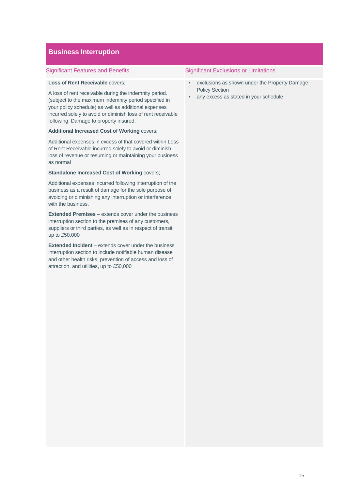### **Business Interruption**

### **Loss of Rent Receivable** covers;

A loss of rent receivable during the indemnity period. (subject to the maximum indemnity period specified in your policy schedule) as well as additional expenses incurred solely to avoid or diminish loss of rent receivable following Damage to property insured.

#### **Additional Increased Cost of Working** covers;

Additional expenses in excess of that covered within Loss of Rent Receivable incurred solely to avoid or diminish loss of revenue or resuming or maintaining your business as normal

#### **Standalone Increased Cost of Working covers;**

Additional expenses incurred following interruption of the business as a result of damage for the sole purpose of avoiding or diminishing any interruption or interference with the business.

**Extended Premises –** extends cover under the business interruption section to the premises of any customers, suppliers or third parties, as well as in respect of transit, up to £50,000

**Extended Incident** – extends cover under the business interruption section to include notifiable human disease and other health risks, prevention of access and loss of attraction, and utilities, up to £50,000

- exclusions as shown under the Property Damage Policy Section
- any excess as stated in your schedule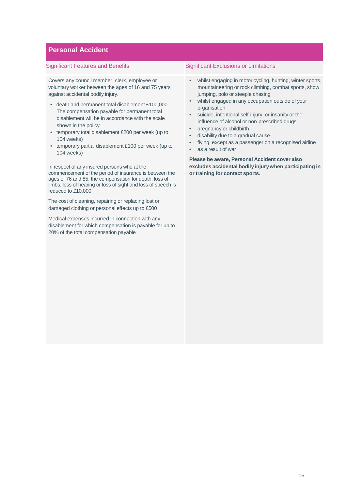### **Personal Accident**

Covers any council member, clerk, employee or voluntary worker between the ages of 16 and 75 years against accidental bodily injury.

- death and permanent total disablement £100,000. The compensation payable for permanent total disablement will be in accordance with the scale shown in the policy
- temporary total disablement £200 per week (up to 104 weeks)
- temporary partial disablement £100 per week (up to 104 weeks)

In respect of any insured persons who at the commencement of the period of insurance is between the ages of 76 and 85, the compensation for death, loss of limbs, loss of hearing or loss of sight and loss of speech is reduced to £10,000.

The cost of cleaning, repairing or replacing lost or damaged clothing or personal effects up to £500

Medical expenses incurred in connection with any disablement for which compensation is payable for up to 20% of the total compensation payable

#### Significant Features and Benefits Significant Exclusions or Limitations

- whilst engaging in motor cycling, hunting, winter sports, mountaineering or rock climbing, combat sports, show jumping, polo or steeple chasing
- whilst engaged in any occupation outside of your organisation
- suicide, intentional self-injury, or insanity or the influence of alcohol or non-prescribed drugs
- pregnancy or childbirth
- disability due to a gradual cause
- flying, except as a passenger on a recognised airline
- as a result of war

**Please be aware, Personal Accident cover also excludes accidental bodily injury when participating in or training for contact sports.**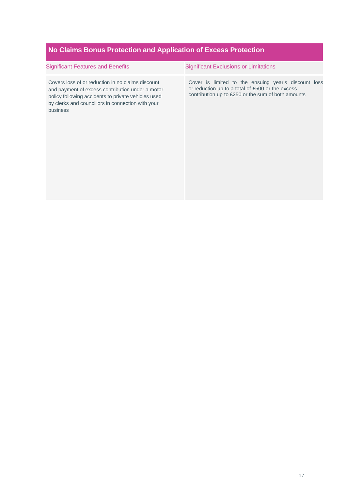## **No Claims Bonus Protection and Application of Excess Protection**

| <b>Significant Features and Benefits</b>                                                                                                                                                                                      | <b>Significant Exclusions or Limitations</b>                                                                                                                   |
|-------------------------------------------------------------------------------------------------------------------------------------------------------------------------------------------------------------------------------|----------------------------------------------------------------------------------------------------------------------------------------------------------------|
| Covers loss of or reduction in no claims discount<br>and payment of excess contribution under a motor<br>policy following accidents to private vehicles used<br>by clerks and councillors in connection with your<br>business | Cover is limited to the ensuing year's discount loss<br>or reduction up to a total of £500 or the excess<br>contribution up to £250 or the sum of both amounts |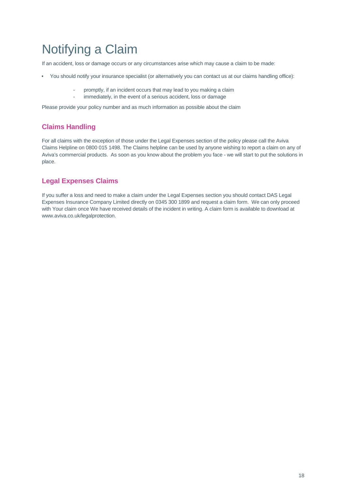# Notifying a Claim

If an accident, loss or damage occurs or any circumstances arise which may cause a claim to be made:

- You should notify your insurance specialist (or alternatively you can contact us at our claims handling office):
	- promptly, if an incident occurs that may lead to you making a claim
	- immediately, in the event of a serious accident, loss or damage

Please provide your policy number and as much information as possible about the claim

## **Claims Handling**

For all claims with the exception of those under the Legal Expenses section of the policy please call the Aviva Claims Helpline on 0800 015 1498. The Claims helpline can be used by anyone wishing to report a claim on any of Aviva's commercial products. As soon as you know about the problem you face - we will start to put the solutions in place.

## **Legal Expenses Claims**

If you suffer a loss and need to make a claim under the Legal Expenses section you should contact DAS Legal Expenses Insurance Company Limited directly on 0345 300 1899 and request a claim form. We can only proceed with Your claim once We have received details of the incident in writing. A claim form is available to download at www.aviva.co.uk/legalprotection.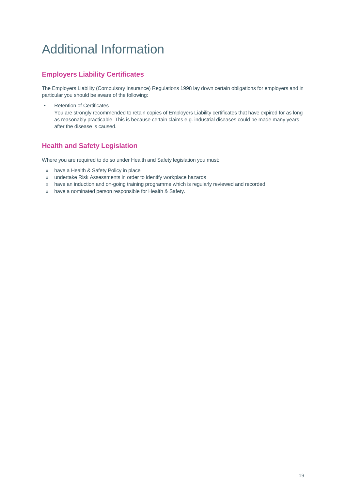# Additional Information

## **Employers Liability Certificates**

The Employers Liability (Compulsory Insurance) Regulations 1998 lay down certain obligations for employers and in particular you should be aware of the following:

• Retention of Certificates

You are strongly recommended to retain copies of Employers Liability certificates that have expired for as long as reasonably practicable. This is because certain claims e.g. industrial diseases could be made many years after the disease is caused.

## **Health and Safety Legislation**

Where you are required to do so under Health and Safety legislation you must:

- » have a Health & Safety Policy in place
- » undertake Risk Assessments in order to identify workplace hazards
- » have an induction and on-going training programme which is regularly reviewed and recorded
- » have a nominated person responsible for Health & Safety.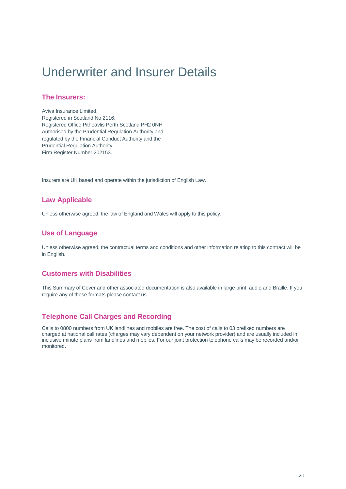# Underwriter and Insurer Details

### **The Insurers:**

Aviva Insurance Limited. Registered in Scotland No 2116. Registered Office Pitheavlis Perth Scotland PH2 0NH Authorised by the Prudential Regulation Authority and regulated by the Financial Conduct Authority and the Prudential Regulation Authority. Firm Register Number 202153.

Insurers are UK based and operate within the jurisdiction of English Law.

### **Law Applicable**

Unless otherwise agreed, the law of England and Wales will apply to this policy.

### **Use of Language**

Unless otherwise agreed, the contractual terms and conditions and other information relating to this contract will be in English.

### **Customers with Disabilities**

This Summary of Cover and other associated documentation is also available in large print, audio and Braille. If you require any of these formats please contact us

### **Telephone Call Charges and Recording**

Calls to 0800 numbers from UK landlines and mobiles are free. The cost of calls to 03 prefixed numbers are charged at national call rates (charges may vary dependent on your network provider) and are usually included in inclusive minute plans from landlines and mobiles. For our joint protection telephone calls may be recorded and/or monitored.